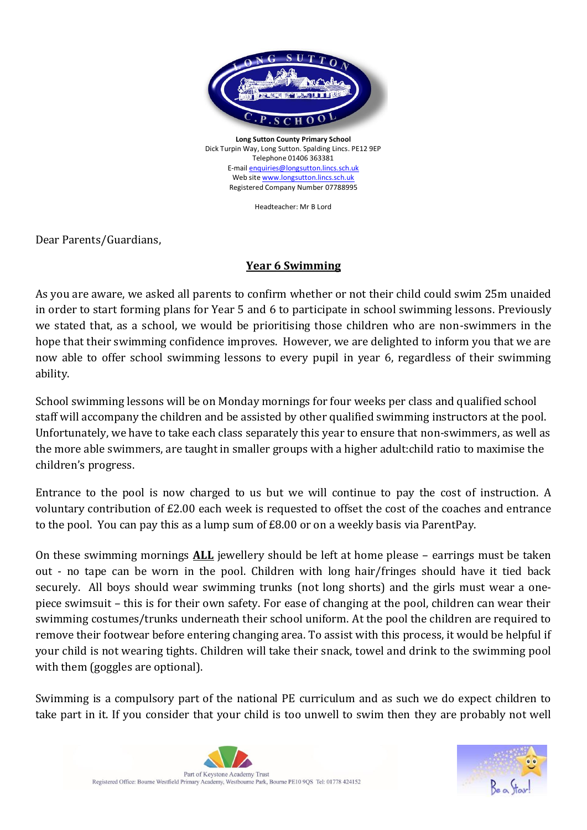

**Long Sutton County Primary School** Dick Turpin Way, Long Sutton. Spalding Lincs. PE12 9EP Telephone 01406 363381 E-mai[l enquiries@longsutton.lincs.sch.uk](mailto:enquiries@longsutton.lincs.sch.uk) Web sit[e www.longsutton.lincs.sch.uk](http://www.longsutton.lincs.sch.uk/) Registered Company Number 07788995

Headteacher: Mr B Lord

Dear Parents/Guardians,

## **Year 6 Swimming**

As you are aware, we asked all parents to confirm whether or not their child could swim 25m unaided in order to start forming plans for Year 5 and 6 to participate in school swimming lessons. Previously we stated that, as a school, we would be prioritising those children who are non-swimmers in the hope that their swimming confidence improves. However, we are delighted to inform you that we are now able to offer school swimming lessons to every pupil in year 6, regardless of their swimming ability.

School swimming lessons will be on Monday mornings for four weeks per class and qualified school staff will accompany the children and be assisted by other qualified swimming instructors at the pool. Unfortunately, we have to take each class separately this year to ensure that non-swimmers, as well as the more able swimmers, are taught in smaller groups with a higher adult:child ratio to maximise the children's progress.

Entrance to the pool is now charged to us but we will continue to pay the cost of instruction. A voluntary contribution of £2.00 each week is requested to offset the cost of the coaches and entrance to the pool. You can pay this as a lump sum of £8.00 or on a weekly basis via ParentPay.

On these swimming mornings **ALL** jewellery should be left at home please – earrings must be taken out - no tape can be worn in the pool. Children with long hair/fringes should have it tied back securely. All boys should wear swimming trunks (not long shorts) and the girls must wear a onepiece swimsuit – this is for their own safety. For ease of changing at the pool, children can wear their swimming costumes/trunks underneath their school uniform. At the pool the children are required to remove their footwear before entering changing area. To assist with this process, it would be helpful if your child is not wearing tights. Children will take their snack, towel and drink to the swimming pool with them (goggles are optional).

Swimming is a compulsory part of the national PE curriculum and as such we do expect children to take part in it. If you consider that your child is too unwell to swim then they are probably not well